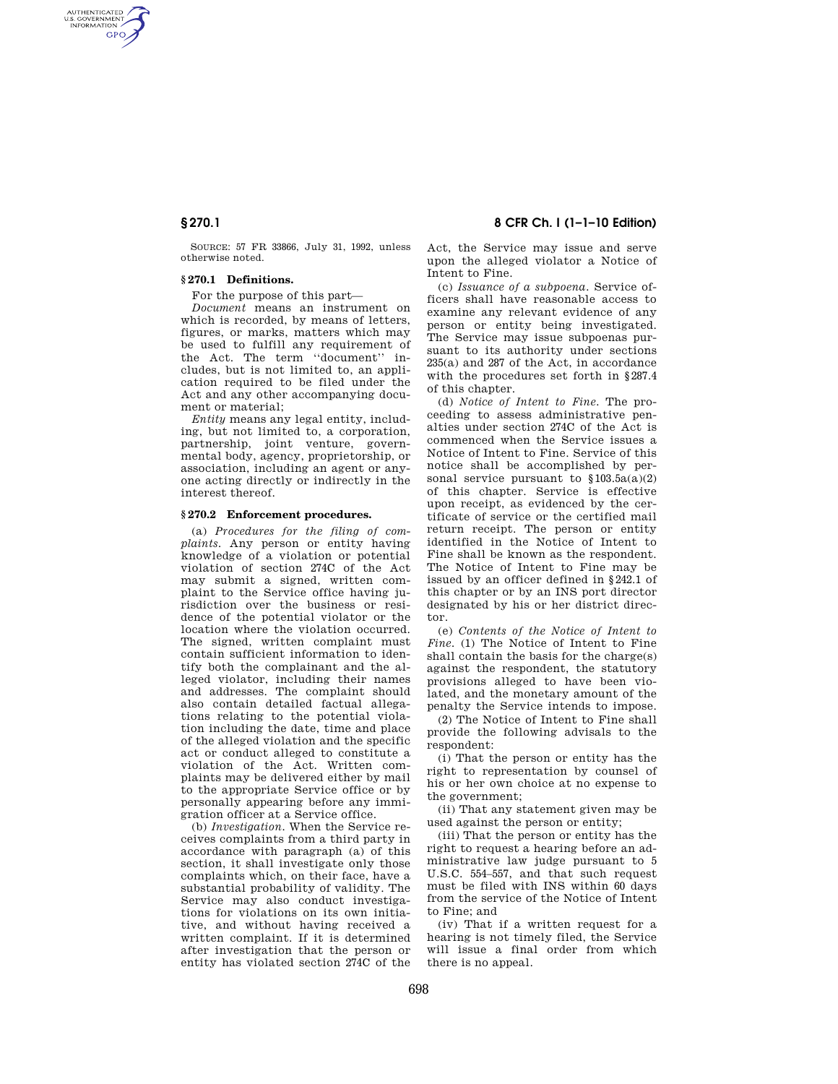AUTHENTICATED<br>U.S. GOVERNMENT<br>INFORMATION **GPO** 

> SOURCE: 57 FR 33866, July 31, 1992, unless otherwise noted.

## **§ 270.1 Definitions.**

For the purpose of this part—

*Document* means an instrument on which is recorded, by means of letters, figures, or marks, matters which may be used to fulfill any requirement of the Act. The term ''document'' includes, but is not limited to, an application required to be filed under the Act and any other accompanying document or material;

*Entity* means any legal entity, including, but not limited to, a corporation, partnership, joint venture, governmental body, agency, proprietorship, or association, including an agent or anyone acting directly or indirectly in the interest thereof.

#### **§ 270.2 Enforcement procedures.**

(a) *Procedures for the filing of complaints.* Any person or entity having knowledge of a violation or potential violation of section 274C of the Act may submit a signed, written complaint to the Service office having jurisdiction over the business or residence of the potential violator or the location where the violation occurred. The signed, written complaint must contain sufficient information to identify both the complainant and the alleged violator, including their names and addresses. The complaint should also contain detailed factual allegations relating to the potential violation including the date, time and place of the alleged violation and the specific act or conduct alleged to constitute a violation of the Act. Written complaints may be delivered either by mail to the appropriate Service office or by personally appearing before any immigration officer at a Service office.

(b) *Investigation.* When the Service receives complaints from a third party in accordance with paragraph (a) of this section, it shall investigate only those complaints which, on their face, have a substantial probability of validity. The Service may also conduct investigations for violations on its own initiative, and without having received a written complaint. If it is determined after investigation that the person or entity has violated section 274C of the

## **§ 270.1 8 CFR Ch. I (1–1–10 Edition)**

Act, the Service may issue and serve upon the alleged violator a Notice of Intent to Fine.

(c) *Issuance of a subpoena.* Service officers shall have reasonable access to examine any relevant evidence of any person or entity being investigated. The Service may issue subpoenas pursuant to its authority under sections 235(a) and 287 of the Act, in accordance with the procedures set forth in §287.4 of this chapter.

(d) *Notice of Intent to Fine.* The proceeding to assess administrative penalties under section 274C of the Act is commenced when the Service issues a Notice of Intent to Fine. Service of this notice shall be accomplished by personal service pursuant to  $$103.5a(a)(2)$ of this chapter. Service is effective upon receipt, as evidenced by the certificate of service or the certified mail return receipt. The person or entity identified in the Notice of Intent to Fine shall be known as the respondent. The Notice of Intent to Fine may be issued by an officer defined in §242.1 of this chapter or by an INS port director designated by his or her district director.

(e) *Contents of the Notice of Intent to Fine.* (1) The Notice of Intent to Fine shall contain the basis for the charge(s) against the respondent, the statutory provisions alleged to have been violated, and the monetary amount of the penalty the Service intends to impose.

(2) The Notice of Intent to Fine shall provide the following advisals to the respondent:

(i) That the person or entity has the right to representation by counsel of his or her own choice at no expense to the government;

(ii) That any statement given may be used against the person or entity;

(iii) That the person or entity has the right to request a hearing before an administrative law judge pursuant to 5 U.S.C. 554–557, and that such request must be filed with INS within 60 days from the service of the Notice of Intent to Fine; and

(iv) That if a written request for a hearing is not timely filed, the Service will issue a final order from which there is no appeal.